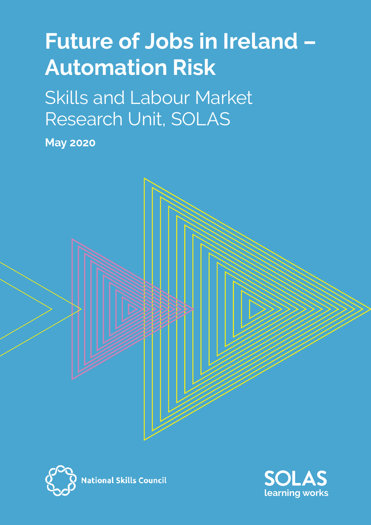# **Future of Jobs in Ireland – Automation Risk**

Skills and Labour Market Research Unit, SOLAS

**May 2020**





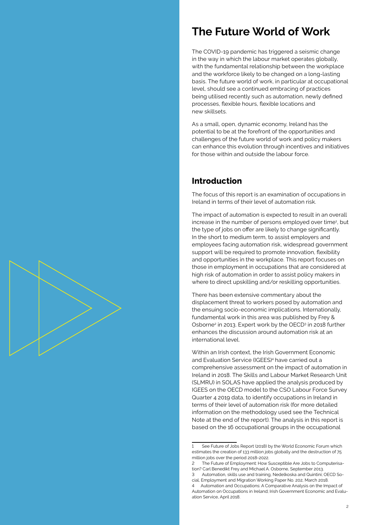## **The Future World of Work**

The COVID-19 pandemic has triggered a seismic change in the way in which the labour market operates globally, with the fundamental relationship between the workplace and the workforce likely to be changed on a long-lasting basis. The future world of work, in particular at occupational level, should see a continued embracing of practices being utilised recently such as automation, newly defined processes, flexible hours, flexible locations and new skillsets.

As a small, open, dynamic economy, Ireland has the potential to be at the forefront of the opportunities and challenges of the future world of work and policy makers can enhance this evolution through incentives and initiatives for those within and outside the labour force.

## **Introduction**

The focus of this report is an examination of occupations in Ireland in terms of their level of automation risk.

The impact of automation is expected to result in an overall increase in the number of persons employed over time<sup>1</sup>, but the type of jobs on offer are likely to change significantly. In the short to medium term, to assist employers and employees facing automation risk, widespread government support will be required to promote innovation, flexibility and opportunities in the workplace. This report focuses on those in employment in occupations that are considered at high risk of automation in order to assist policy makers in where to direct upskilling and/or reskilling opportunities.

There has been extensive commentary about the displacement threat to workers posed by automation and the ensuing socio-economic implications. Internationally, fundamental work in this area was published by Frey & Osborne<sup>2</sup> in 2013. Expert work by the OECD<sup>3</sup> in 2018 further enhances the discussion around automation risk at an international level.

Within an Irish context, the Irish Government Economic and Evaluation Service (IGEES)<sup>4</sup> have carried out a comprehensive assessment on the impact of automation in Ireland in 2018. The Skills and Labour Market Research Unit (SLMRU) in SOLAS have applied the analysis produced by IGEES on the OECD model to the CSO Labour Force Survey Quarter 4 2019 data, to identify occupations in Ireland in terms of their level of automation risk (for more detailed information on the methodology used see the Technical Note at the end of the report). The analysis in this report is based on the 16 occupational groups in the occupational



See Future of Jobs Report (2018) by the World Economic Forum which estimates the creation of 133 million jobs globally and the destruction of 75 million jobs over the period 2018-2022.

<sup>2</sup> The Future of Employment: How Susceptible Are Jobs to Computerisation? Carl Benedikt Frey and Michael A. Osborne, September 2013.

<sup>3</sup> Automation, skills use and training, Nedelkoska and Quintini; OECD Social, Employment and Migration Working Paper No. 202, March 2018.

Automation and Occupations: A Comparative Analysis on the Impact of Automation on Occupations in Ireland; Irish Government Economic and Evaluation Service, April 2018.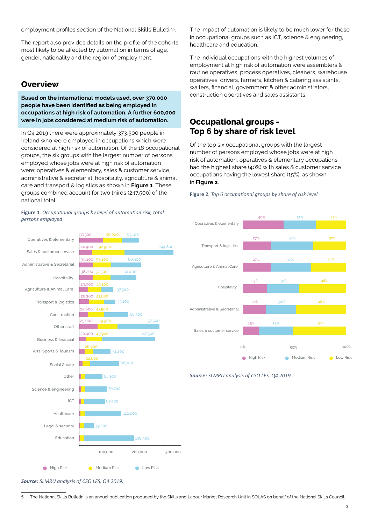employment profiles section of the National Skills Bulletin<sup>5</sup>.

The report also provides details on the profile of the cohorts most likely to be affected by automation in terms of age, gender, nationality and the region of employment.

## **Overview**

Administrative & Secretarial

Agriculture & Animal Care

Transport & logistics

Business & financial Arts. Sports & Tourism

Hospitality

Construction Other craft

Other

Social & care

ICT

Healthcare

Education

Legal & security

Science & engineering

Operatives & elementary

Sales & customer service

**Based on the international models used, over 370,000 people have been identified as being employed in occupations at high risk of automation. A further 600,000 were in jobs considered at medium risk of automation.**

In Q4 2019 there were approximately 373,500 people in Ireland who were employed in occupations which were considered at high risk of automation. Of the 16 occupational groups, the six groups with the largest number of persons employed whose jobs were at high risk of automation were; operatives & elementary, sales & customer service, administrative & secretarial, hospitality, agriculture & animal care and transport & logistics as shown in **Figure 1**. These groups combined account for two thirds (247,500) of the national total.

#### **Figure 1***. Occupational groups by level of automation risk, total persons employed*

39,400 53,400

38,200 51,300

43,100

41,600

 $47,500$ 

29,900

40,400 92,900 144,800

53,100

74,400

68,500

57,500

147,500

37,500

33,100

51,200

64,100 70,700 67,400

88,700

112,000

138,900

200,000 300,000

7130C

 $8,300$ 25,600

25,000

20,400 43,900

26,900

24,600

The impact of automation is likely to be much lower for those in occupational groups such as ICT, science & engineering, healthcare and education.

The individual occupations with the highest volumes of employment at high risk of automation were assemblers & routine operatives, process operatives, cleaners, warehouse operatives, drivers, farmers, kitchen & catering assistants, waiters, financial, government & other administrators, construction operatives and sales assistants.

## **Occupational groups - Top 6 by share of risk level**

Of the top six occupational groups with the largest number of persons employed whose jobs were at high risk of automation, operatives & elementary occupations had the highest share (40%) with sales & customer service occupations having the lowest share (15%), as shown in **Figure 2**.

**Figure 2***. Top 6 occupational groups by share of risk level*



*Source: SLMRU analysis of CSO LFS, Q4 2019.*

*Source: SLMRU analysis of CSO LFS, Q4 2019.*

100,000

**A** High Risk **Medium Risk A** Low Risk

39,200

5 The National Skills Bulletin is an annual publication produced by the Skills and Labour Market Research Unit in SOLAS on behalf of the National Skills Council.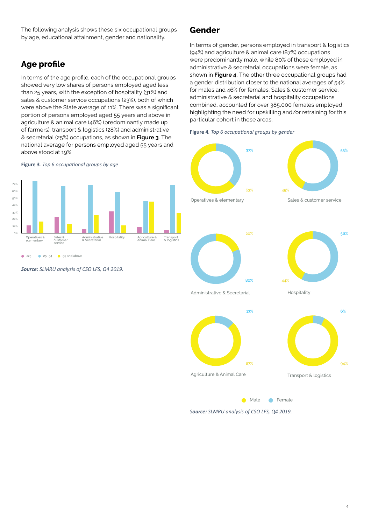The following analysis shows these six occupational groups by age, educational attainment, gender and nationality.

## **Age profile**

In terms of the age profile, each of the occupational groups showed very low shares of persons employed aged less than 25 years, with the exception of hospitality (31%) and sales & customer service occupations (23%), both of which were above the State average of 11%. There was a significant portion of persons employed aged 55 years and above in agriculture & animal care (46%) (predominantly made up of farmers), transport & logistics (28%) and administrative & secretarial (25%) occupations, as shown in **Figure 3**. The national average for persons employed aged 55 years and above stood at 19%.

#### **Figure 3***. Top 6 occupational groups by age*



*Source: SLMRU analysis of CSO LFS, Q4 2019.*

## **Gender**

In terms of gender, persons employed in transport & logistics (94%) and agriculture & animal care (87%) occupations were predominantly male, while 80% of those employed in administrative & secretarial occupations were female, as shown in **Figure 4**. The other three occupational groups had a gender distribution closer to the national averages of 54% for males and 46% for females. Sales & customer service, administrative & secretarial and hospitality occupations combined, accounted for over 385,000 females employed, highlighting the need for upskilling and/or retraining for this particular cohort in these areas.

**Figure 4***. Top 6 occupational groups by gender*



*Source: SLMRU analysis of CSO LFS, Q4 2019.*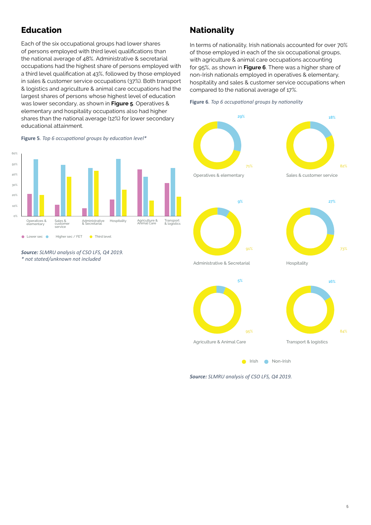## **Education**

Each of the six occupational groups had lower shares of persons employed with third level qualifications than the national average of 48%. Administrative & secretarial occupations had the highest share of persons employed with a third level qualification at 43%, followed by those employed in sales & customer service occupations (37%). Both transport & logistics and agriculture & animal care occupations had the largest shares of persons whose highest level of education was lower secondary, as shown in **Figure 5**. Operatives & elementary and hospitality occupations also had higher shares than the national average (12%) for lower secondary educational attainment.

## **Nationality**

In terms of nationality, Irish nationals accounted for over 70% of those employed in each of the six occupational groups, with agriculture & animal care occupations accounting for 95%, as shown in **Figure 6**. There was a higher share of non-Irish nationals employed in operatives & elementary, hospitality and sales & customer service occupations when compared to the national average of 17%.

**Figure 6***. Top 6 occupational groups by nationality*



*Source: SLMRU analysis of CSO LFS, Q4 2019. \* not stated/unknown not included* 



*Source: SLMRU analysis of CSO LFS, Q4 2019.*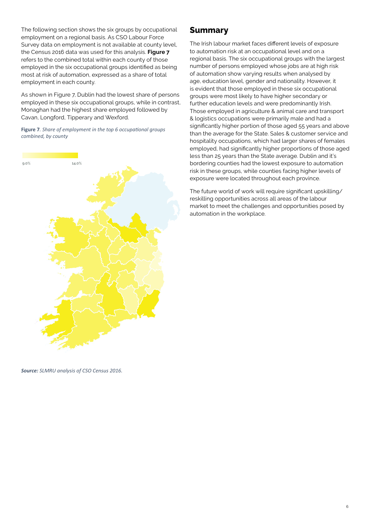The following section shows the six groups by occupational employment on a regional basis. As CSO Labour Force Survey data on employment is not available at county level, the Census 2016 data was used for this analysis. **Figure 7** refers to the combined total within each county of those employed in the six occupational groups identified as being most at risk of automation, expressed as a share of total employment in each county.

As shown in Figure 7, Dublin had the lowest share of persons employed in these six occupational groups, while in contrast, Monaghan had the highest share employed followed by Cavan, Longford, Tipperary and Wexford.

**Figure 7***. Share of employment in the top 6 occupational groups combined, by county*



## **Summary**

The Irish labour market faces different levels of exposure to automation risk at an occupational level and on a regional basis. The six occupational groups with the largest number of persons employed whose jobs are at high risk of automation show varying results when analysed by age, education level, gender and nationality. However, it is evident that those employed in these six occupational groups were most likely to have higher secondary or further education levels and were predominantly Irish. Those employed in agriculture & animal care and transport & logistics occupations were primarily male and had a significantly higher portion of those aged 55 years and above than the average for the State. Sales & customer service and hospitality occupations, which had larger shares of females employed, had significantly higher proportions of those aged less than 25 years than the State average. Dublin and it's bordering counties had the lowest exposure to automation risk in these groups, while counties facing higher levels of exposure were located throughout each province.

The future world of work will require significant upskilling/ reskilling opportunities across all areas of the labour market to meet the challenges and opportunities posed by automation in the workplace.

*Source: SLMRU analysis of CSO Census 2016.*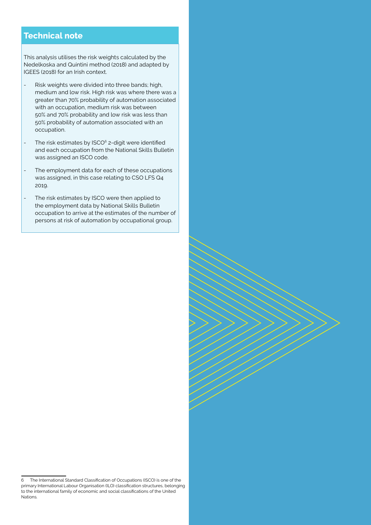## **Technical note**

This analysis utilises the risk weights calculated by the Nedelkoska and Quintini method (2018) and adapted by IGEES (2018) for an Irish context.

- Risk weights were divided into three bands; high, medium and low risk. High risk was where there was a greater than 70% probability of automation associated with an occupation, medium risk was between 50% and 70% probability and low risk was less than 50% probability of automation associated with an occupation.
- The risk estimates by ISCO<sup>6</sup> 2-digit were identified and each occupation from the National Skills Bulletin was assigned an ISCO code.
- The employment data for each of these occupations was assigned, in this case relating to CSO LFS Q4 2019.
- The risk estimates by ISCO were then applied to the employment data by National Skills Bulletin occupation to arrive at the estimates of the number of persons at risk of automation by occupational group.

<sup>6</sup> The International Standard Classification of Occupations (ISCO) is one of the primary International Labour Organisation (ILO) classification structures, belonging to the international family of economic and social classifications of the United Nations.